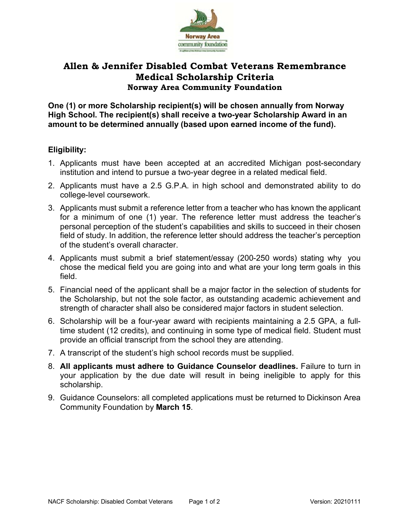

## **Allen & Jennifer Disabled Combat Veterans Remembrance Medical Scholarship Criteria Norway Area Community Foundation**

**One (1) or more Scholarship recipient(s) will be chosen annually from Norway High School. The recipient(s) shall receive a two-year Scholarship Award in an amount to be determined annually (based upon earned income of the fund).**

### **Eligibility:**

- 1. Applicants must have been accepted at an accredited Michigan post-secondary institution and intend to pursue a two-year degree in a related medical field.
- 2. Applicants must have a 2.5 G.P.A. in high school and demonstrated ability to do college-level coursework.
- 3. Applicants must submit a reference letter from a teacher who has known the applicant for a minimum of one (1) year. The reference letter must address the teacher's personal perception of the student's capabilities and skills to succeed in their chosen field of study. In addition, the reference letter should address the teacher's perception of the student's overall character.
- 4. Applicants must submit a brief statement/essay (200-250 words) stating why you chose the medical field you are going into and what are your long term goals in this field.
- 5. Financial need of the applicant shall be a major factor in the selection of students for the Scholarship, but not the sole factor, as outstanding academic achievement and strength of character shall also be considered major factors in student selection.
- 6. Scholarship will be a four-year award with recipients maintaining a 2.5 GPA, a fulltime student (12 credits), and continuing in some type of medical field. Student must provide an official transcript from the school they are attending.
- 7. A transcript of the student's high school records must be supplied.
- 8. **All applicants must adhere to Guidance Counselor deadlines.** Failure to turn in your application by the due date will result in being ineligible to apply for this scholarship.
- 9. Guidance Counselors: all completed applications must be returned to Dickinson Area Community Foundation by **March 15**.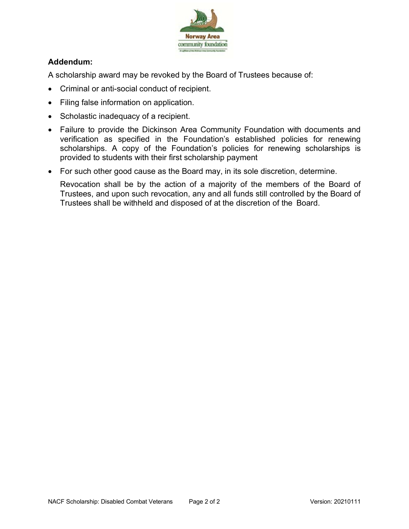

## **Addendum:**

A scholarship award may be revoked by the Board of Trustees because of:

- Criminal or anti-social conduct of recipient.
- Filing false information on application.
- Scholastic inadequacy of a recipient.
- Failure to provide the Dickinson Area Community Foundation with documents and verification as specified in the Foundation's established policies for renewing scholarships. A copy of the Foundation's policies for renewing scholarships is provided to students with their first scholarship payment
- For such other good cause as the Board may, in its sole discretion, determine.

Revocation shall be by the action of a majority of the members of the Board of Trustees, and upon such revocation, any and all funds still controlled by the Board of Trustees shall be withheld and disposed of at the discretion of the Board.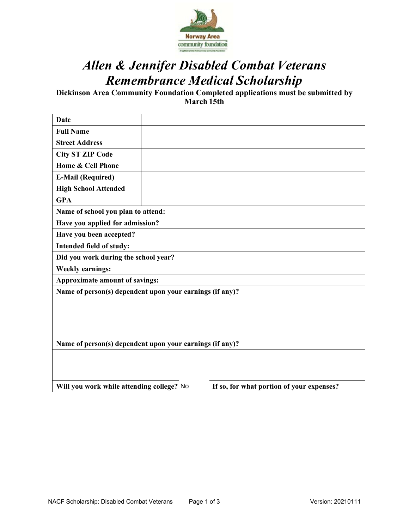

# *Allen & Jennifer Disabled Combat Veterans Remembrance Medical Scholarship*

**Dickinson Area Community Foundation Completed applications must be submitted by March 15th**

| <b>Date</b>                                              |  |                                           |  |  |
|----------------------------------------------------------|--|-------------------------------------------|--|--|
| <b>Full Name</b>                                         |  |                                           |  |  |
| <b>Street Address</b>                                    |  |                                           |  |  |
| <b>City ST ZIP Code</b>                                  |  |                                           |  |  |
| Home & Cell Phone                                        |  |                                           |  |  |
| <b>E-Mail (Required)</b>                                 |  |                                           |  |  |
| <b>High School Attended</b>                              |  |                                           |  |  |
| <b>GPA</b>                                               |  |                                           |  |  |
| Name of school you plan to attend:                       |  |                                           |  |  |
| Have you applied for admission?                          |  |                                           |  |  |
| Have you been accepted?                                  |  |                                           |  |  |
| Intended field of study:                                 |  |                                           |  |  |
| Did you work during the school year?                     |  |                                           |  |  |
| <b>Weekly earnings:</b>                                  |  |                                           |  |  |
| Approximate amount of savings:                           |  |                                           |  |  |
| Name of person(s) dependent upon your earnings (if any)? |  |                                           |  |  |
|                                                          |  |                                           |  |  |
|                                                          |  |                                           |  |  |
|                                                          |  |                                           |  |  |
|                                                          |  |                                           |  |  |
| Name of person(s) dependent upon your earnings (if any)? |  |                                           |  |  |
|                                                          |  |                                           |  |  |
|                                                          |  |                                           |  |  |
| Will you work while attending college? No                |  | If so, for what portion of your expenses? |  |  |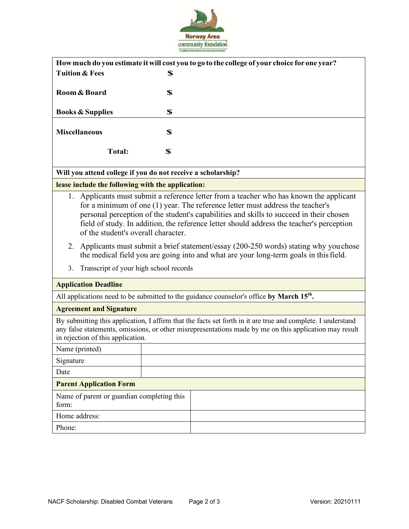

| How much do you estimate it will cost you to go to the college of your choice for one year? |    |  |  |  |
|---------------------------------------------------------------------------------------------|----|--|--|--|
| <b>Tuition &amp; Fees</b>                                                                   | \$ |  |  |  |
| Room & Board                                                                                | \$ |  |  |  |
| <b>Books &amp; Supplies</b>                                                                 | \$ |  |  |  |
| <b>Miscellaneous</b>                                                                        | \$ |  |  |  |
| <b>Total:</b>                                                                               | \$ |  |  |  |

### **Will you attend college if you do not receive a scholarship?**

#### **lease include the following with the application:**

- 1. Applicants must submit a reference letter from a teacher who has known the applicant for a minimum of one (1) year. The reference letter must address the teacher's personal perception of the student's capabilities and skills to succeed in their chosen field of study. In addition, the reference letter should address the teacher's perception of the student's overall character.
- 2. Applicants must submit a brief statement/essay (200-250 words) stating why youchose the medical field you are going into and what are your long-term goals in this field.
- 3. Transcript of your high school records

| <b>Application Deadline</b>                                                                          |                                                                                                                                                                                                                       |  |  |  |
|------------------------------------------------------------------------------------------------------|-----------------------------------------------------------------------------------------------------------------------------------------------------------------------------------------------------------------------|--|--|--|
| All applications need to be submitted to the guidance counselor's office by March 15 <sup>th</sup> . |                                                                                                                                                                                                                       |  |  |  |
| <b>Agreement and Signature</b>                                                                       |                                                                                                                                                                                                                       |  |  |  |
| in rejection of this application.                                                                    | By submitting this application, I affirm that the facts set forth in it are true and complete. I understand<br>any false statements, omissions, or other misrepresentations made by me on this application may result |  |  |  |
| Name (printed)                                                                                       |                                                                                                                                                                                                                       |  |  |  |
| Signature                                                                                            |                                                                                                                                                                                                                       |  |  |  |
| Date                                                                                                 |                                                                                                                                                                                                                       |  |  |  |
| <b>Parent Application Form</b>                                                                       |                                                                                                                                                                                                                       |  |  |  |
| Name of parent or guardian completing this<br>form:                                                  |                                                                                                                                                                                                                       |  |  |  |
| Home address:                                                                                        |                                                                                                                                                                                                                       |  |  |  |
| Phone:                                                                                               |                                                                                                                                                                                                                       |  |  |  |